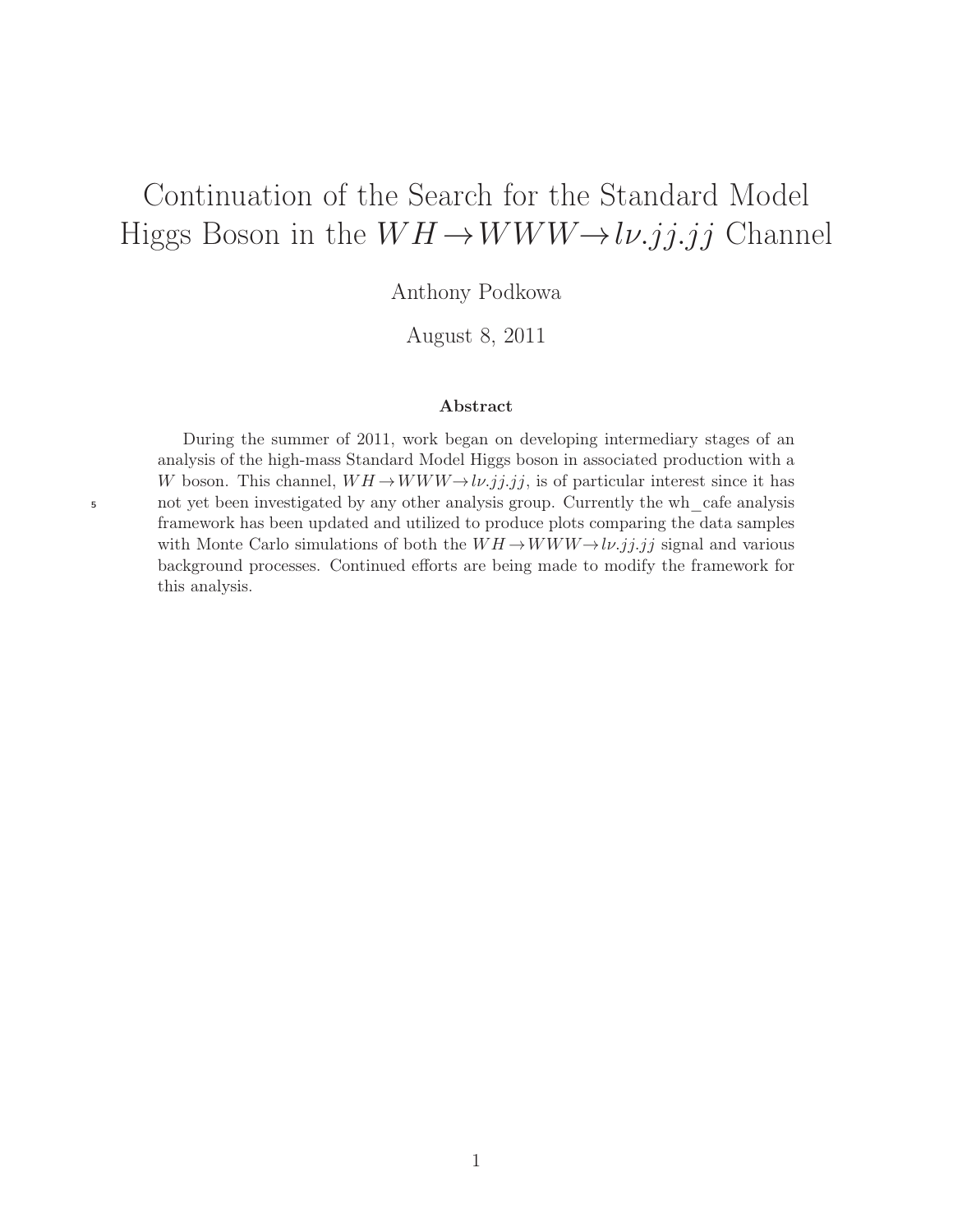# Continuation of the Search for the Standard Model Higgs Boson in the  $WH \rightarrow WWW \rightarrow l\nu. jj. jj$  Channel

Anthony Podkowa

August 8, 2011

#### Abstract

During the summer of 2011, work began on developing intermediary stages of an analysis of the high-mass Standard Model Higgs boson in associated production with a W boson. This channel,  $WH \rightarrow WWW \rightarrow l\nu$ .j.j.j.j. is of particular interest since it has <sup>5</sup> not yet been investigated by any other analysis group. Currently the wh\_cafe analysis framework has been updated and utilized to produce plots comparing the data samples with Monte Carlo simulations of both the  $WH \rightarrow WWW \rightarrow l\nu$ .j.j.j signal and various background processes. Continued efforts are being made to modify the framework for this analysis.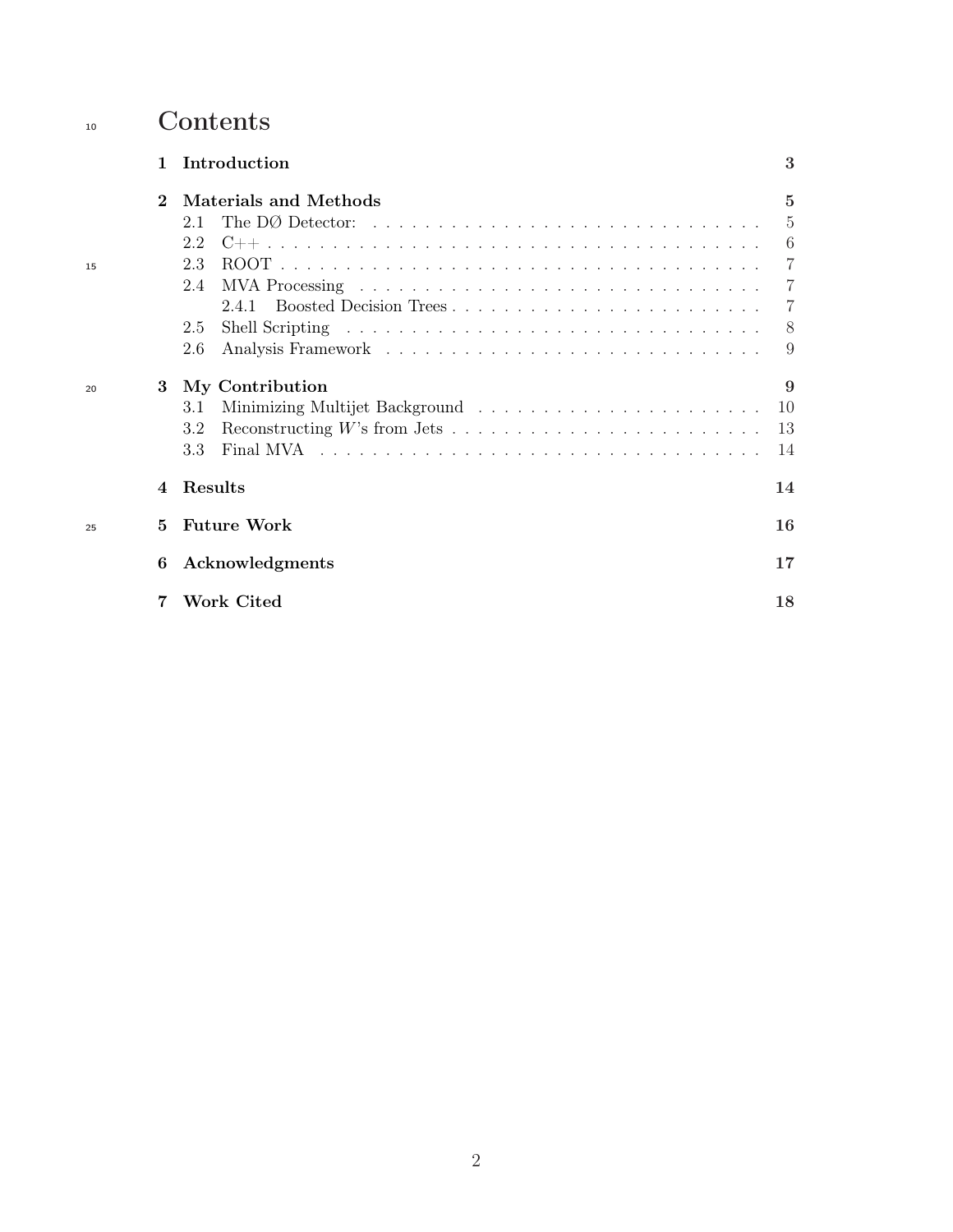# 10 Contents

|    | 1           | Introduction                                                                                    | 3              |
|----|-------------|-------------------------------------------------------------------------------------------------|----------------|
|    | $\mathbf 2$ | Materials and Methods                                                                           | 5              |
|    |             | The DØ Detector: $\ldots \ldots \ldots \ldots \ldots \ldots \ldots \ldots \ldots \ldots$<br>2.1 | $\overline{5}$ |
|    |             | 2.2                                                                                             | 6              |
| 15 |             | 2.3                                                                                             | -7             |
|    |             | 2.4                                                                                             | $\overline{7}$ |
|    |             | Boosted Decision Trees<br>2.4.1                                                                 | -7             |
|    |             | 2.5                                                                                             | -8             |
|    |             | 2.6                                                                                             | 9              |
| 20 | 3           | My Contribution                                                                                 | 9              |
|    |             | 3.1                                                                                             | 10             |
|    |             | 3.2                                                                                             | 13             |
|    |             | 3.3                                                                                             | 14             |
|    | 4           | Results                                                                                         | 14             |
| 25 | 5           | <b>Future Work</b>                                                                              | 16             |
|    | 6           | Acknowledgments                                                                                 | 17             |
|    |             | Work Cited                                                                                      | 18             |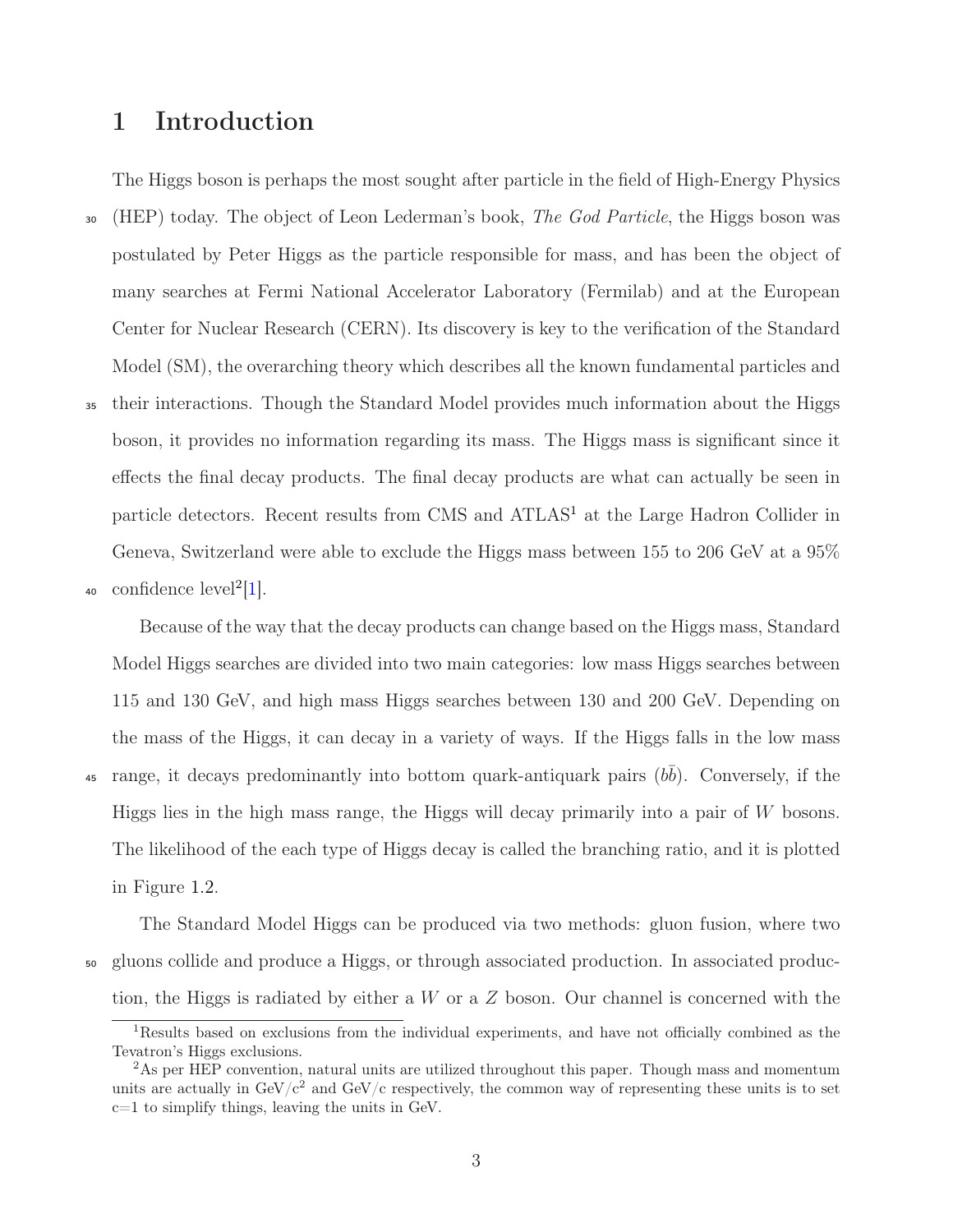# <span id="page-2-0"></span>1 Introduction

The Higgs boson is perhaps the most sought after particle in the field of High-Energy Physics <sup>30</sup> (HEP) today. The object of Leon Lederman's book, *The God Particle*, the Higgs boson was postulated by Peter Higgs as the particle responsible for mass, and has been the object of many searches at Fermi National Accelerator Laboratory (Fermilab) and at the European Center for Nuclear Research (CERN). Its discovery is key to the verification of the Standard Model (SM), the overarching theory which describes all the known fundamental particles and <sup>35</sup> their interactions. Though the Standard Model provides much information about the Higgs boson, it provides no information regarding its mass. The Higgs mass is significant since it effects the final decay products. The final decay products are what can actually be seen in particle detectors. Recent results from CMS and ATLAS<sup>[1](#page-2-1)</sup> at the Large Hadron Collider in

40 confidence  $level^2[1]$  $level^2[1]$  $level^2[1]$ .

Because of the way that the decay products can change based on the Higgs mass, Standard Model Higgs searches are divided into two main categories: low mass Higgs searches between 115 and 130 GeV, and high mass Higgs searches between 130 and 200 GeV. Depending on the mass of the Higgs, it can decay in a variety of ways. If the Higgs falls in the low mass <sup>45</sup> range, it decays predominantly into bottom quark-antiquark pairs  $(b\bar{b})$ . Conversely, if the Higgs lies in the high mass range, the Higgs will decay primarily into a pair of  $W$  bosons. The likelihood of the each type of Higgs decay is called the branching ratio, and it is plotted in Figure [1.2.](#page-3-0)

Geneva, Switzerland were able to exclude the Higgs mass between 155 to 206 GeV at a 95%

The Standard Model Higgs can be produced via two methods: gluon fusion, where two <sup>50</sup> gluons collide and produce a Higgs, or through associated production. In associated production, the Higgs is radiated by either a  $W$  or a  $Z$  boson. Our channel is concerned with the

<span id="page-2-1"></span><sup>1</sup>Results based on exclusions from the individual experiments, and have not officially combined as the Tevatron's Higgs exclusions.

<span id="page-2-2"></span><sup>&</sup>lt;sup>2</sup>As per HEP convention, natural units are utilized throughout this paper. Though mass and momentum units are actually in  $GeV/c^2$  and  $GeV/c$  respectively, the common way of representing these units is to set  $c=1$  to simplify things, leaving the units in GeV.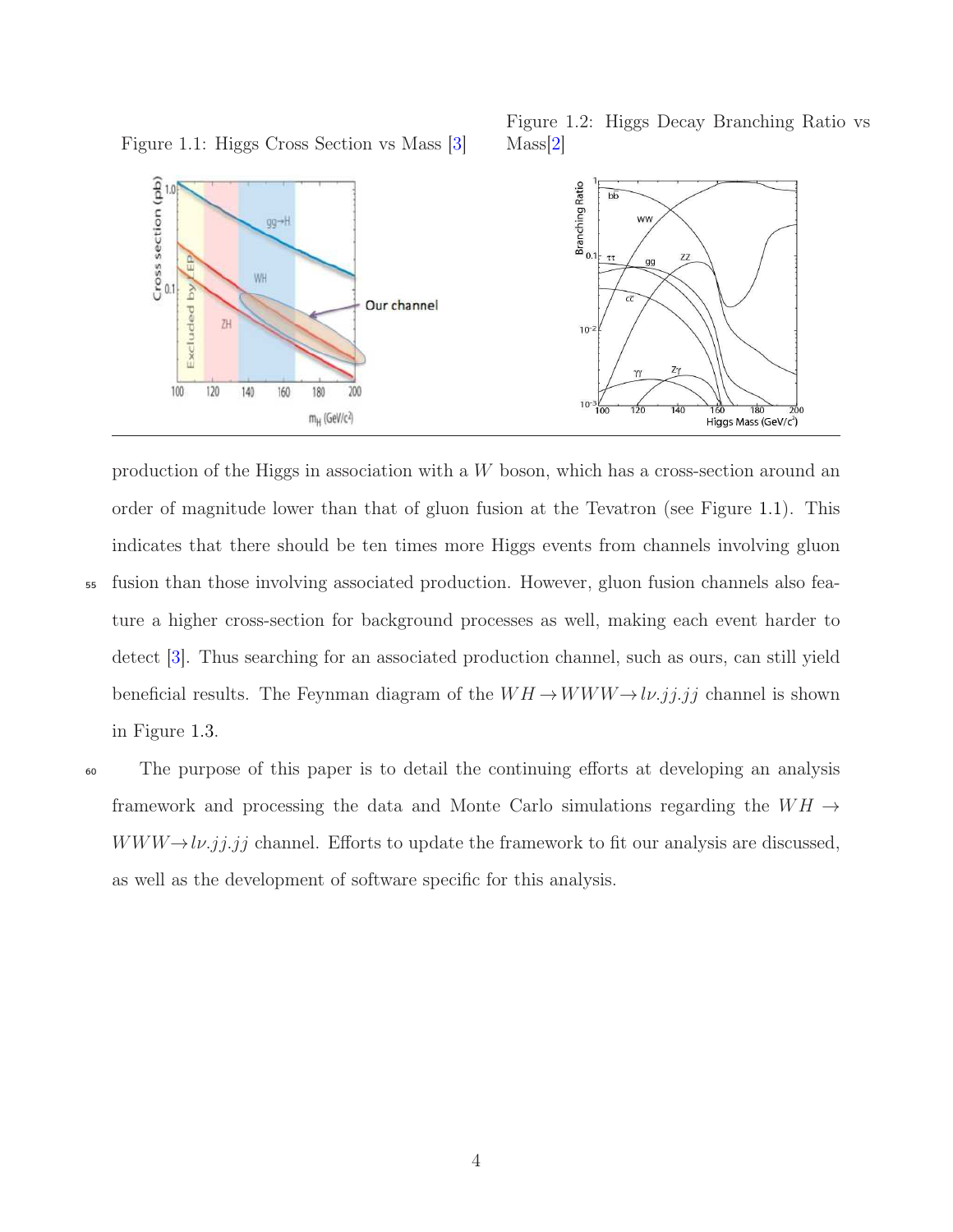

Mass[\[2\]](#page-17-3)

Figure 1.2: Higgs Decay Branching Ratio vs

<span id="page-3-0"></span>Figure 1.1: Higgs Cross Section vs Mass [\[3\]](#page-17-2)

production of the Higgs in association with a W boson, which has a cross-section around an order of magnitude lower than that of gluon fusion at the Tevatron (see Figure [1.1\)](#page-3-0). This indicates that there should be ten times more Higgs events from channels involving gluon <sup>55</sup> fusion than those involving associated production. However, gluon fusion channels also feature a higher cross-section for background processes as well, making each event harder to detect [\[3\]](#page-17-2). Thus searching for an associated production channel, such as ours, can still yield beneficial results. The Feynman diagram of the  $WH \! \rightarrow \! WWW \! \rightarrow \! l \nu. jj. jj$  channel is shown

in Figure [1.3.](#page-4-2)

<sup>60</sup> The purpose of this paper is to detail the continuing efforts at developing an analysis framework and processing the data and Monte Carlo simulations regarding the  $WH \rightarrow$  $WWW \rightarrow l\nu$ .jj.jj channel. Efforts to update the framework to fit our analysis are discussed, as well as the development of software specific for this analysis.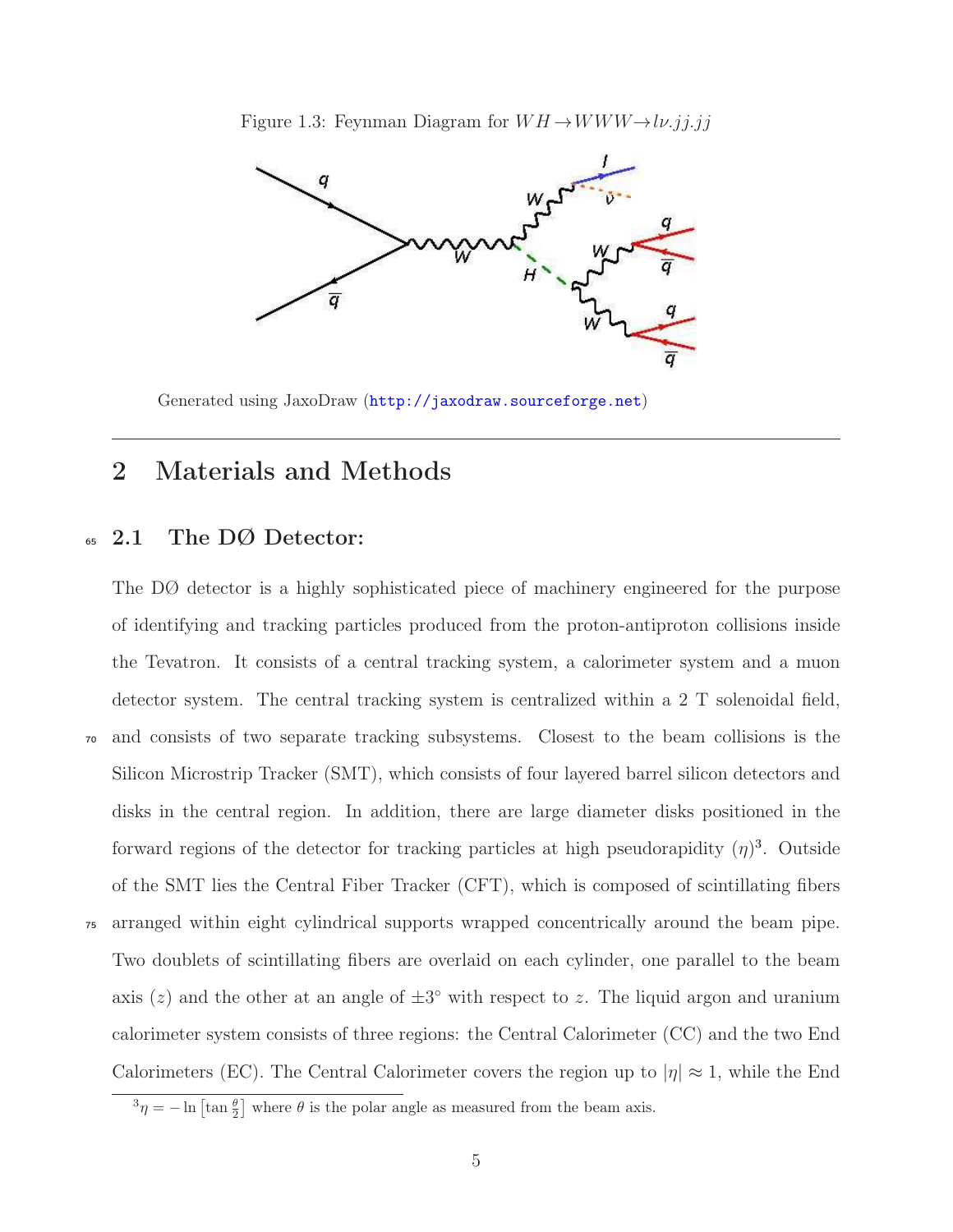Figure 1.3: Feynman Diagram for  $WH \rightarrow WWW \rightarrow l\nu$ .jj.jj

<span id="page-4-2"></span>

Generated using JaxoDraw (<http://jaxodraw.sourceforge.net>)

# <span id="page-4-1"></span><span id="page-4-0"></span>2 Materials and Methods

## <sup>65</sup> 2.1 The DØ Detector:

The DØ detector is a highly sophisticated piece of machinery engineered for the purpose of identifying and tracking particles produced from the proton-antiproton collisions inside the Tevatron. It consists of a central tracking system, a calorimeter system and a muon detector system. The central tracking system is centralized within a 2 T solenoidal field, <sup>70</sup> and consists of two separate tracking subsystems. Closest to the beam collisions is the Silicon Microstrip Tracker (SMT), which consists of four layered barrel silicon detectors and disks in the central region. In addition, there are large diameter disks positioned in the forward regions of the detector for tracking particles at high pseudorapidity  $(\eta)^3$  $(\eta)^3$ . Outside of the SMT lies the Central Fiber Tracker (CFT), which is composed of scintillating fibers <sup>75</sup> arranged within eight cylindrical supports wrapped concentrically around the beam pipe. Two doublets of scintillating fibers are overlaid on each cylinder, one parallel to the beam axis (z) and the other at an angle of  $\pm 3^{\circ}$  with respect to z. The liquid argon and uranium calorimeter system consists of three regions: the Central Calorimeter (CC) and the two End Calorimeters (EC). The Central Calorimeter covers the region up to  $|\eta| \approx 1$ , while the End

<span id="page-4-3"></span> $^{3}\eta = -\ln \left[\tan \frac{\theta}{2}\right]$  where  $\theta$  is the polar angle as measured from the beam axis.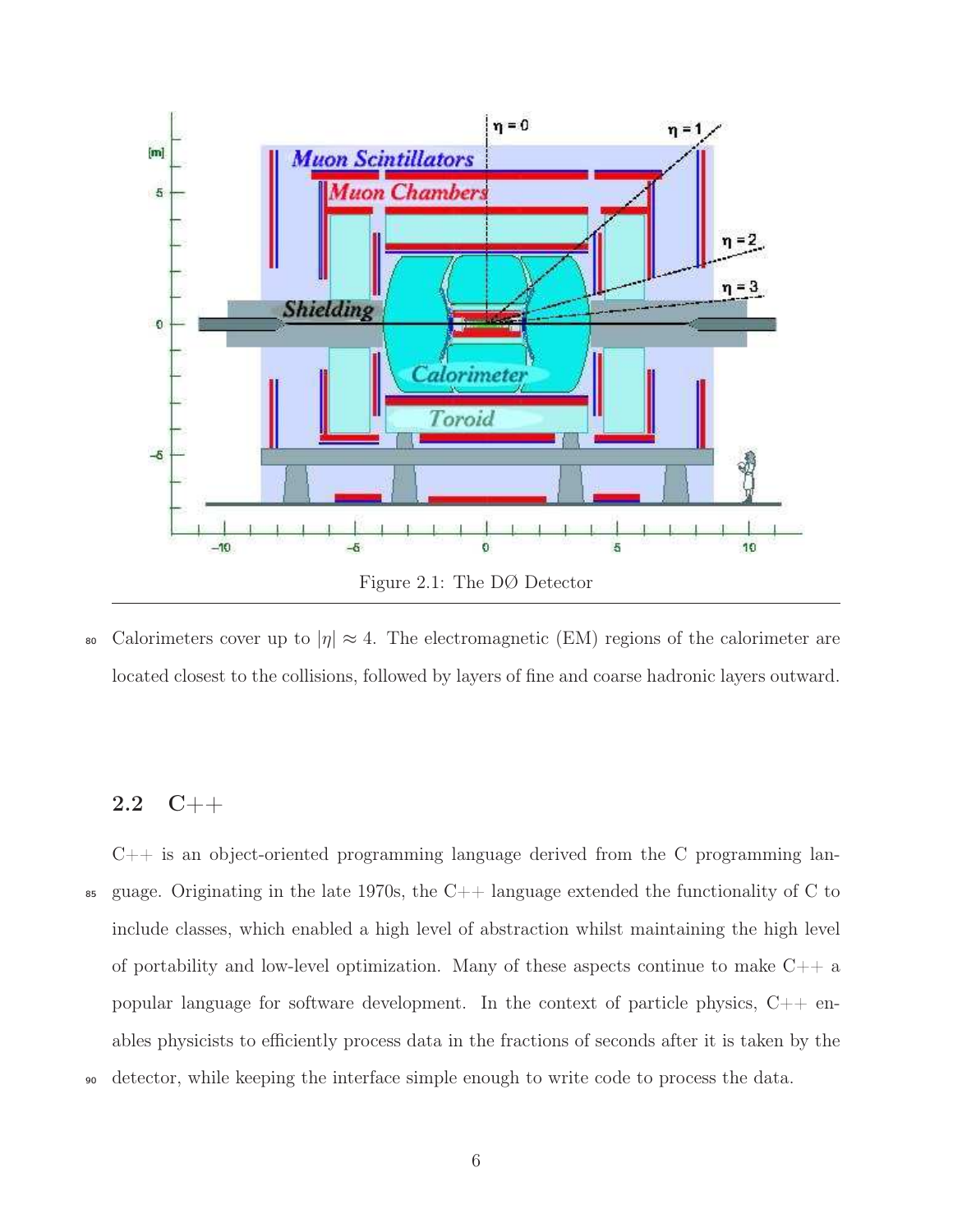<span id="page-5-1"></span>

80 Calorimeters cover up to  $|\eta| \approx 4$ . The electromagnetic (EM) regions of the calorimeter are located closest to the collisions, followed by layers of fine and coarse hadronic layers outward.

## <span id="page-5-0"></span>2.2 C++

C++ is an object-oriented programming language derived from the C programming lan- $\text{85}$  guage. Originating in the late 1970s, the C++ language extended the functionality of C to include classes, which enabled a high level of abstraction whilst maintaining the high level of portability and low-level optimization. Many of these aspects continue to make  $C++$  a popular language for software development. In the context of particle physics,  $C++$  enables physicists to efficiently process data in the fractions of seconds after it is taken by the <sup>90</sup> detector, while keeping the interface simple enough to write code to process the data.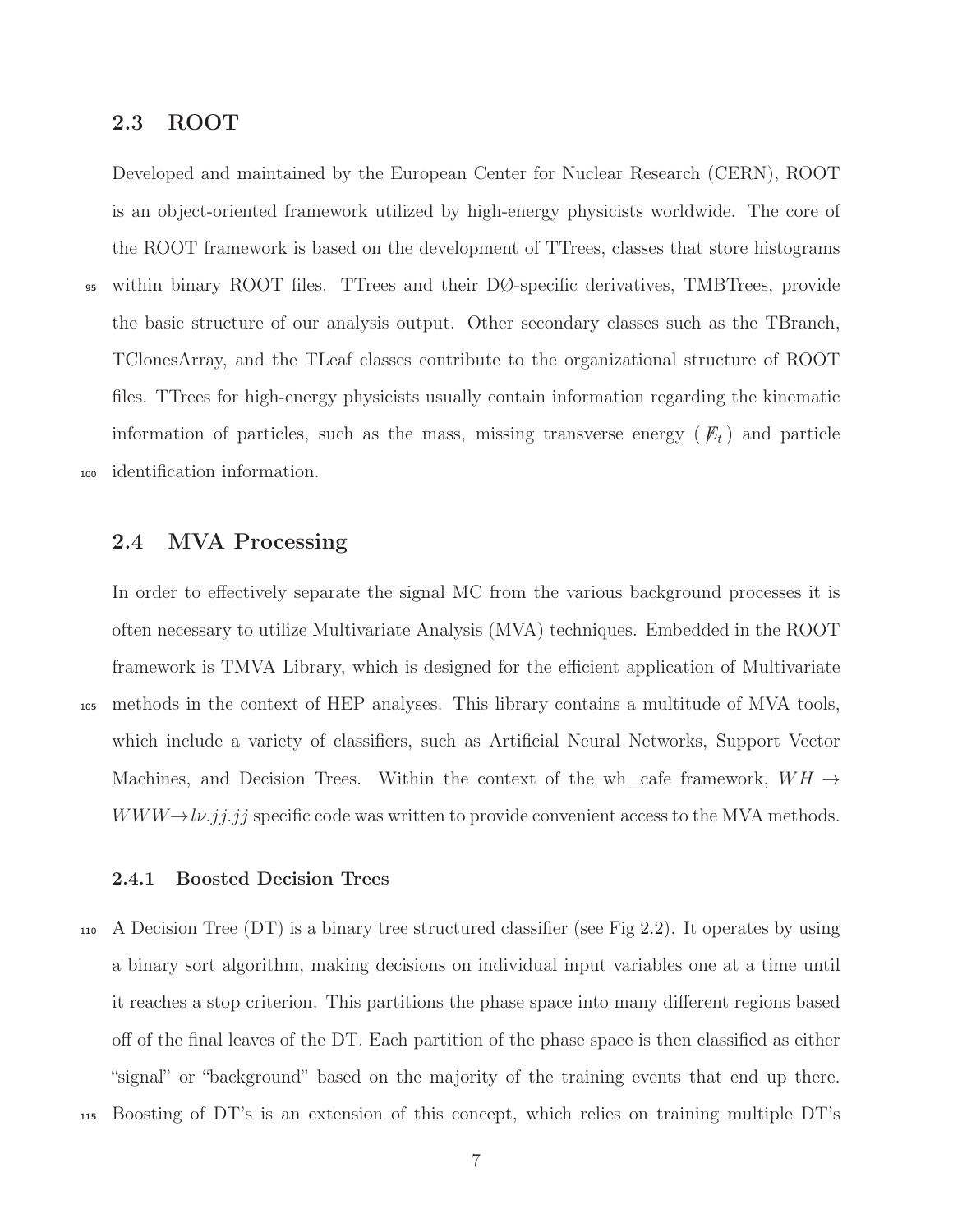## <span id="page-6-0"></span>2.3 ROOT

Developed and maintained by the European Center for Nuclear Research (CERN), ROOT is an object-oriented framework utilized by high-energy physicists worldwide. The core of the ROOT framework is based on the development of TTrees, classes that store histograms <sup>95</sup> within binary ROOT files. TTrees and their DØ-specific derivatives, TMBTrees, provide the basic structure of our analysis output. Other secondary classes such as the TBranch,

TClonesArray, and the TLeaf classes contribute to the organizational structure of ROOT files. TTrees for high-energy physicists usually contain information regarding the kinematic information of particles, such as the mass, missing transverse energy  $(E_t)$  and particle <sup>100</sup> identification information.

### <span id="page-6-1"></span>2.4 MVA Processing

In order to effectively separate the signal MC from the various background processes it is often necessary to utilize Multivariate Analysis (MVA) techniques. Embedded in the ROOT framework is TMVA Library, which is designed for the efficient application of Multivariate <sup>105</sup> methods in the context of HEP analyses. This library contains a multitude of MVA tools, which include a variety of classifiers, such as Artificial Neural Networks, Support Vector Machines, and Decision Trees. Within the context of the wh\_cafe framework,  $WH \rightarrow$  $WWW \rightarrow l\nu$ .jj.jj specific code was written to provide convenient access to the MVA methods.

### <span id="page-6-2"></span>2.4.1 Boosted Decision Trees

<sup>110</sup> A Decision Tree (DT) is a binary tree structured classifier (see Fig [2.2\)](#page-7-1). It operates by using a binary sort algorithm, making decisions on individual input variables one at a time until it reaches a stop criterion. This partitions the phase space into many different regions based off of the final leaves of the DT. Each partition of the phase space is then classified as either "signal" or "background" based on the majority of the training events that end up there.

<sup>115</sup> Boosting of DT's is an extension of this concept, which relies on training multiple DT's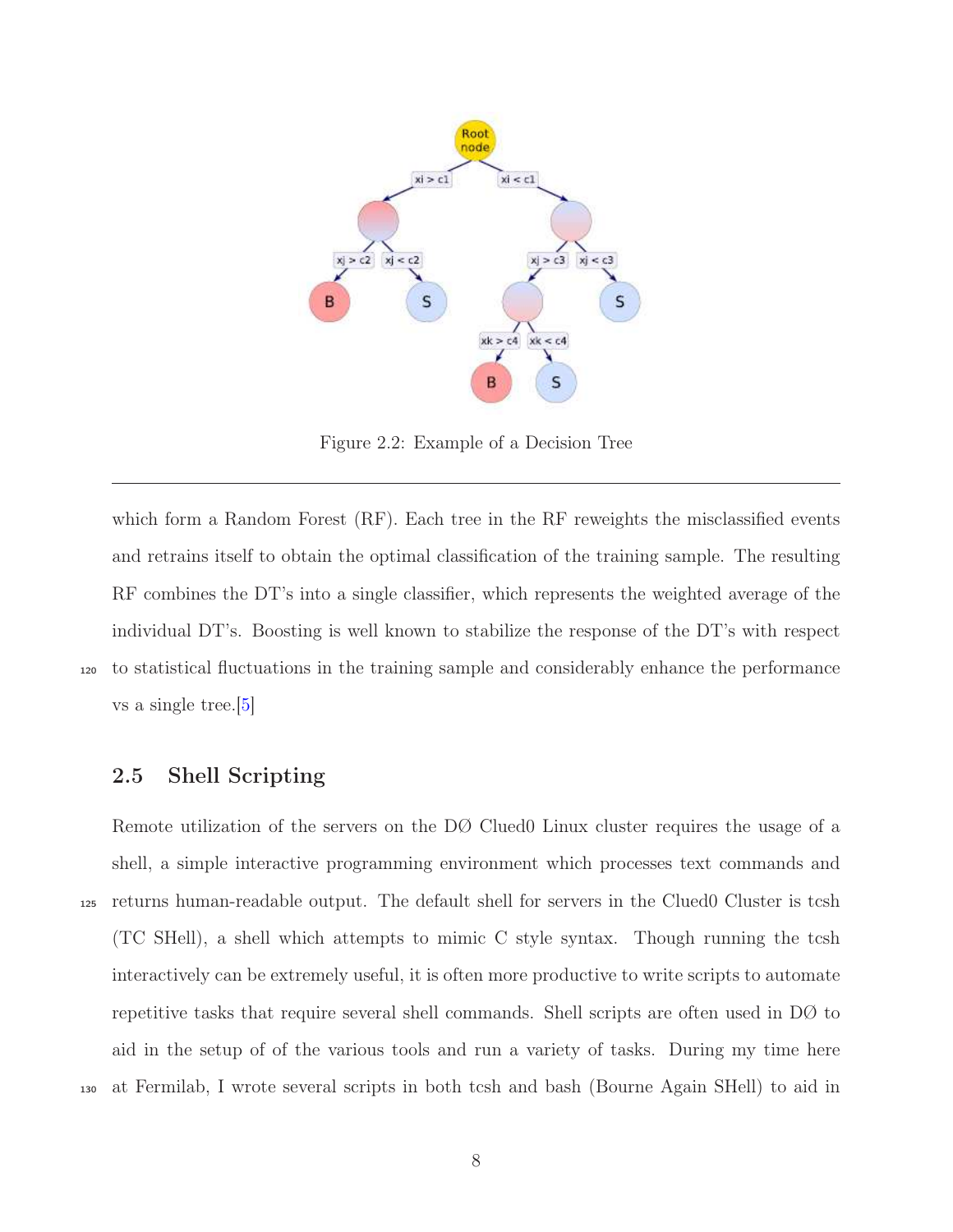<span id="page-7-1"></span>

Figure 2.2: Example of a Decision Tree

which form a Random Forest (RF). Each tree in the RF reweights the misclassified events and retrains itself to obtain the optimal classification of the training sample. The resulting RF combines the DT's into a single classifier, which represents the weighted average of the individual DT's. Boosting is well known to stabilize the response of the DT's with respect <sup>120</sup> to statistical fluctuations in the training sample and considerably enhance the performance vs a single tree.[\[5\]](#page-17-4)

## <span id="page-7-0"></span>2.5 Shell Scripting

Remote utilization of the servers on the DØ Clued0 Linux cluster requires the usage of a shell, a simple interactive programming environment which processes text commands and <sup>125</sup> returns human-readable output. The default shell for servers in the Clued0 Cluster is tcsh (TC SHell), a shell which attempts to mimic C style syntax. Though running the tcsh interactively can be extremely useful, it is often more productive to write scripts to automate repetitive tasks that require several shell commands. Shell scripts are often used in DØ to aid in the setup of of the various tools and run a variety of tasks. During my time here <sup>130</sup> at Fermilab, I wrote several scripts in both tcsh and bash (Bourne Again SHell) to aid in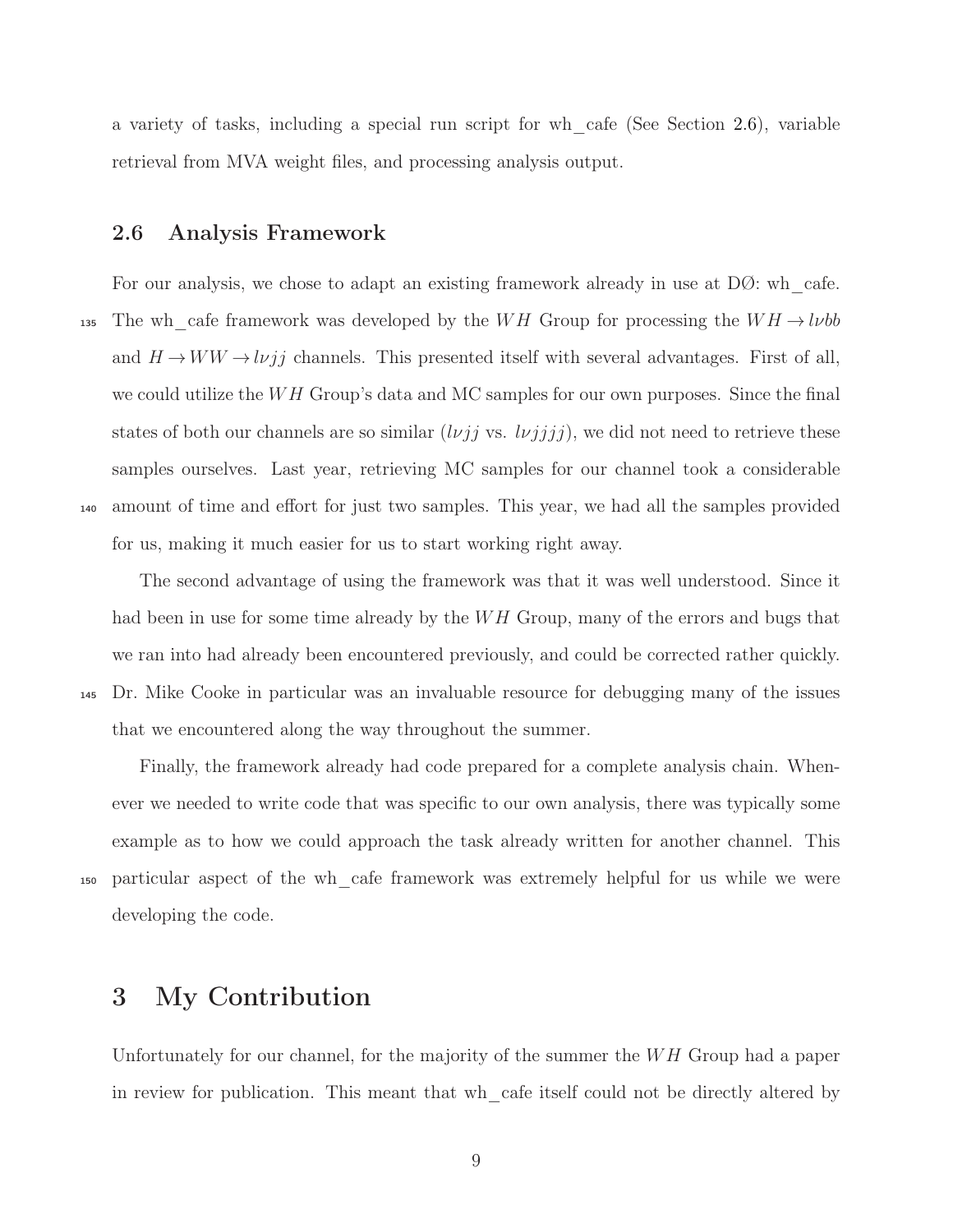<span id="page-8-0"></span>a variety of tasks, including a special run script for wh\_cafe (See Section [2.6\)](#page-8-0), variable retrieval from MVA weight files, and processing analysis output.

## 2.6 Analysis Framework

For our analysis, we chose to adapt an existing framework already in use at  $D\mathcal{O}$ : wh cafe. 135 The wh\_cafe framework was developed by the WH Group for processing the  $WH \rightarrow l\nu bb$ and  $H\!\to\! WW\!\to\! l\nu jj$  channels. This presented itself with several advantages. First of all, we could utilize the  $WH$  Group's data and MC samples for our own purposes. Since the final states of both our channels are so similar  $(l\nu jj$  vs.  $l\nu jjjj)$ , we did not need to retrieve these samples ourselves. Last year, retrieving MC samples for our channel took a considerable <sup>140</sup> amount of time and effort for just two samples. This year, we had all the samples provided for us, making it much easier for us to start working right away.

The second advantage of using the framework was that it was well understood. Since it had been in use for some time already by the  $WH$  Group, many of the errors and bugs that we ran into had already been encountered previously, and could be corrected rather quickly. <sup>145</sup> Dr. Mike Cooke in particular was an invaluable resource for debugging many of the issues that we encountered along the way throughout the summer.

Finally, the framework already had code prepared for a complete analysis chain. Whenever we needed to write code that was specific to our own analysis, there was typically some example as to how we could approach the task already written for another channel. This <sup>150</sup> particular aspect of the wh\_cafe framework was extremely helpful for us while we were developing the code.

# <span id="page-8-1"></span>3 My Contribution

Unfortunately for our channel, for the majority of the summer the  $WH$  Group had a paper in review for publication. This meant that wh\_cafe itself could not be directly altered by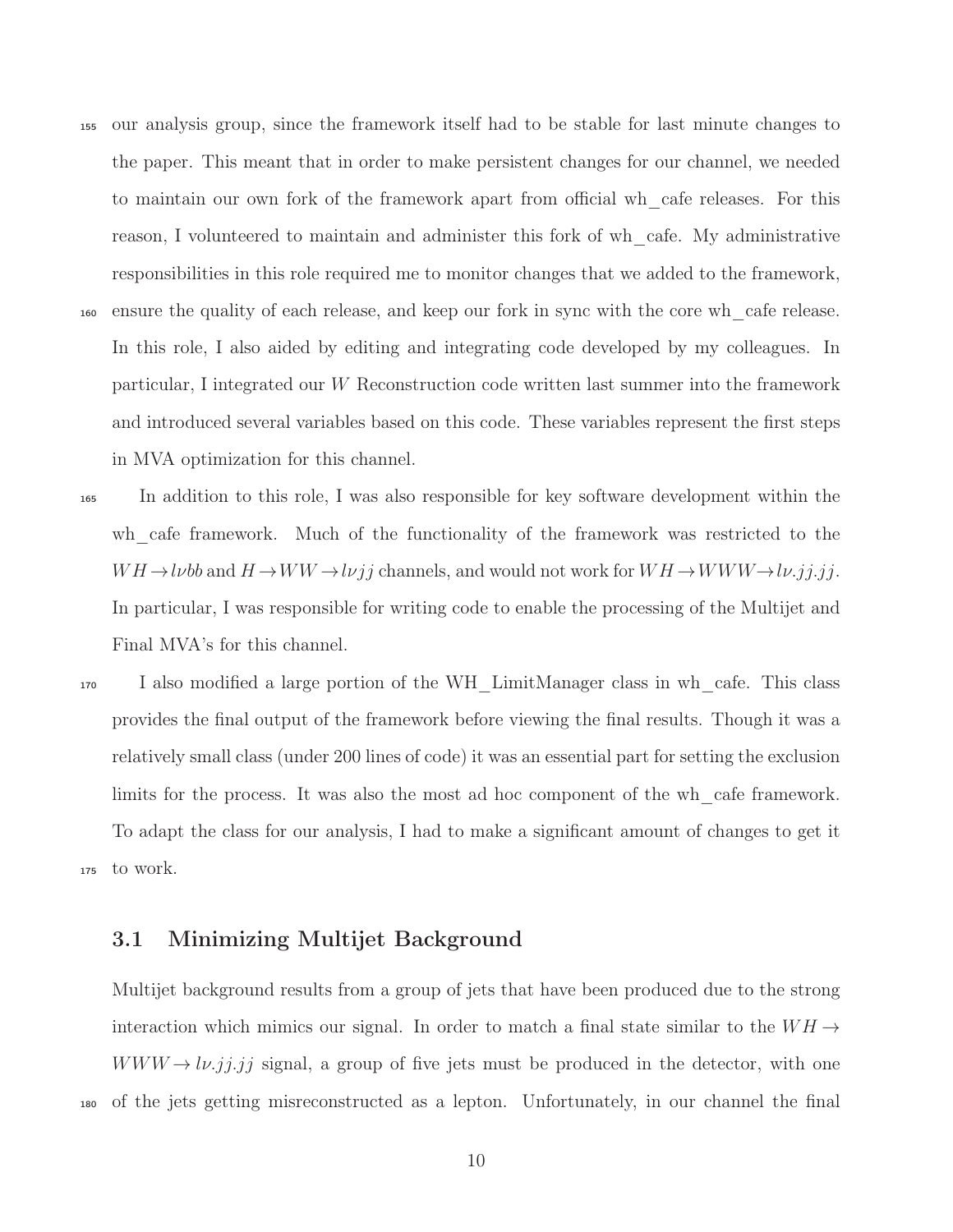- <sup>155</sup> our analysis group, since the framework itself had to be stable for last minute changes to the paper. This meant that in order to make persistent changes for our channel, we needed to maintain our own fork of the framework apart from official wh\_cafe releases. For this reason, I volunteered to maintain and administer this fork of wh\_cafe. My administrative responsibilities in this role required me to monitor changes that we added to the framework, <sup>160</sup> ensure the quality of each release, and keep our fork in sync with the core wh\_cafe release. In this role, I also aided by editing and integrating code developed by my colleagues. In particular, I integrated our W Reconstruction code written last summer into the framework and introduced several variables based on this code. These variables represent the first steps in MVA optimization for this channel.
- <sup>165</sup> In addition to this role, I was also responsible for key software development within the wh cafe framework. Much of the functionality of the framework was restricted to the  $WH \rightarrow l\nu bb$  and  $H \rightarrow WW \rightarrow l\nu jj$  channels, and would not work for  $WH \rightarrow WWW \rightarrow l\nu.jj.jj$ . In particular, I was responsible for writing code to enable the processing of the Multijet and Final MVA's for this channel.
- <sup>170</sup> I also modified a large portion of the WH\_LimitManager class in wh\_cafe. This class provides the final output of the framework before viewing the final results. Though it was a relatively small class (under 200 lines of code) it was an essential part for setting the exclusion limits for the process. It was also the most ad hoc component of the wh\_cafe framework. To adapt the class for our analysis, I had to make a significant amount of changes to get it <sup>175</sup> to work.

## <span id="page-9-0"></span>3.1 Minimizing Multijet Background

Multijet background results from a group of jets that have been produced due to the strong interaction which mimics our signal. In order to match a final state similar to the  $WH \rightarrow$  $WWW \rightarrow l\nu$ .jj.jj signal, a group of five jets must be produced in the detector, with one <sup>180</sup> of the jets getting misreconstructed as a lepton. Unfortunately, in our channel the final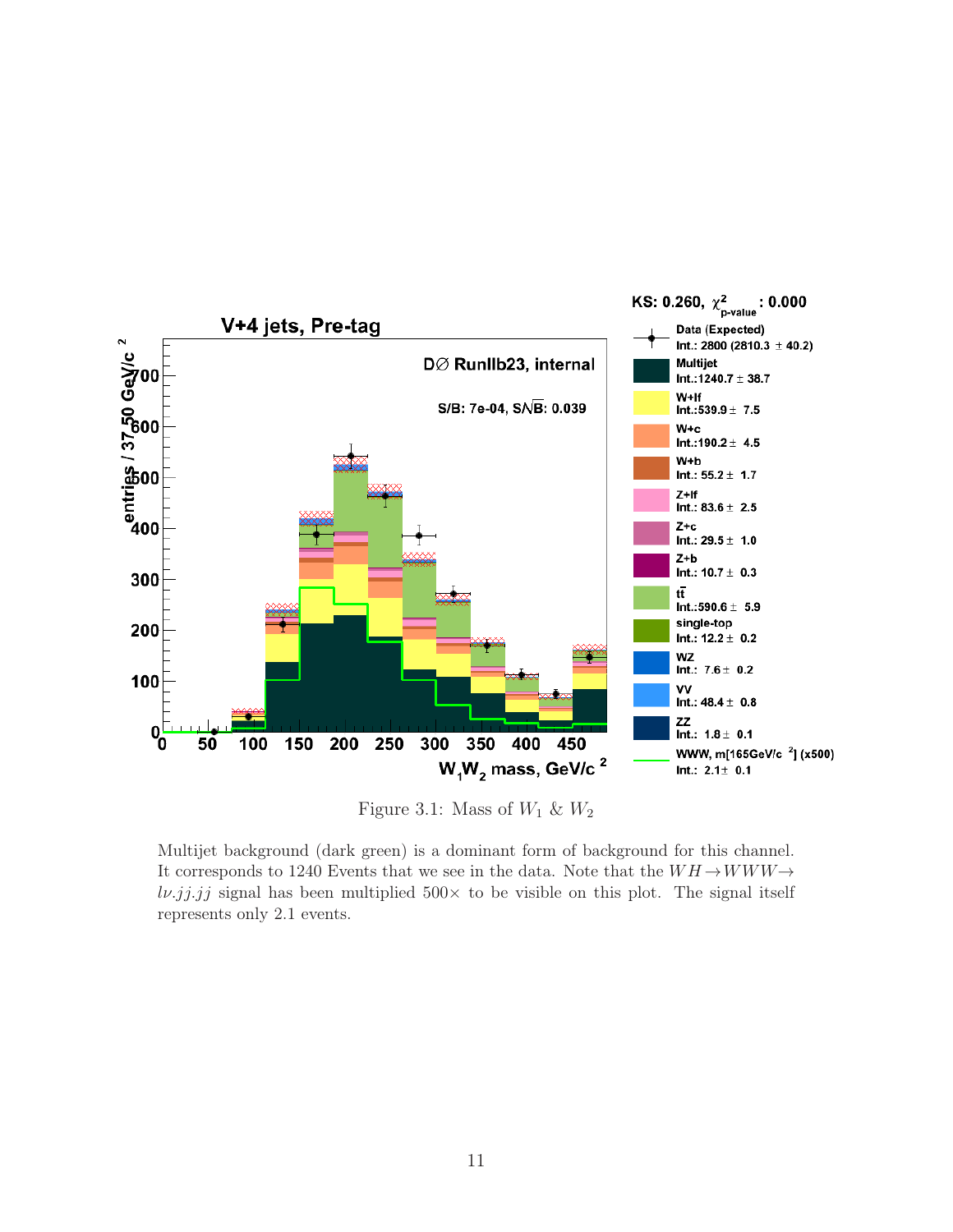<span id="page-10-0"></span>

Figure 3.1: Mass of  $W_1$  &  $W_2$ 

Multijet background (dark green) is a dominant form of background for this channel. It corresponds to 1240 Events that we see in the data. Note that the  $WH \rightarrow WWW \rightarrow$  $l\nu$ .*jj.jj* signal has been multiplied 500 $\times$  to be visible on this plot. The signal itself represents only 2.1 events.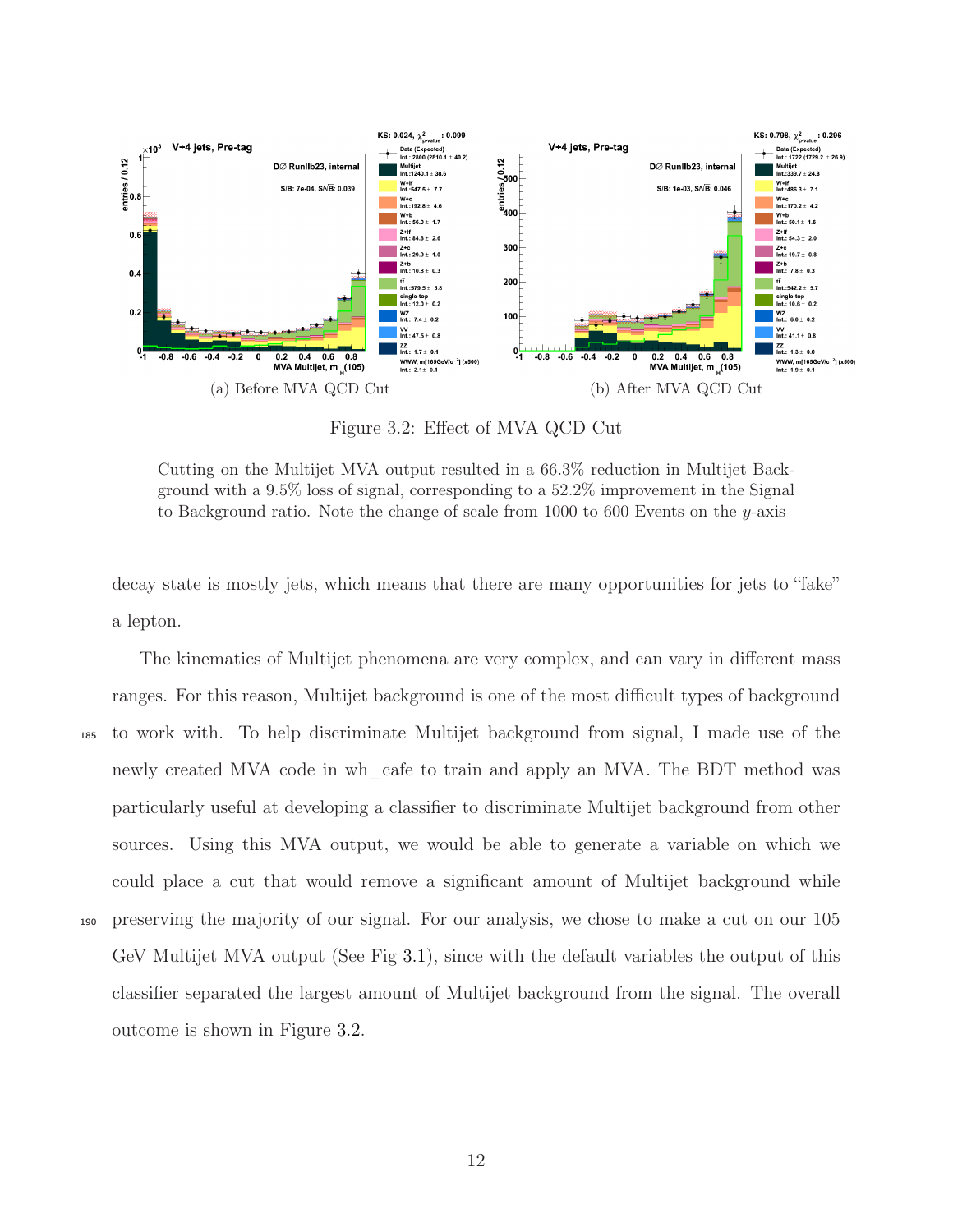<span id="page-11-0"></span>

Figure 3.2: Effect of MVA QCD Cut

Cutting on the Multijet MVA output resulted in a 66.3% reduction in Multijet Background with a 9.5% loss of signal, corresponding to a 52.2% improvement in the Signal to Background ratio. Note the change of scale from 1000 to 600 Events on the  $y$ -axis

decay state is mostly jets, which means that there are many opportunities for jets to "fake" a lepton.

The kinematics of Multijet phenomena are very complex, and can vary in different mass ranges. For this reason, Multijet background is one of the most difficult types of background <sup>185</sup> to work with. To help discriminate Multijet background from signal, I made use of the newly created MVA code in wh\_cafe to train and apply an MVA. The BDT method was particularly useful at developing a classifier to discriminate Multijet background from other sources. Using this MVA output, we would be able to generate a variable on which we could place a cut that would remove a significant amount of Multijet background while <sup>190</sup> preserving the majority of our signal. For our analysis, we chose to make a cut on our 105 GeV Multijet MVA output (See Fig [3.1\)](#page-10-0), since with the default variables the output of this classifier separated the largest amount of Multijet background from the signal. The overall outcome is shown in Figure [3.2.](#page-11-0)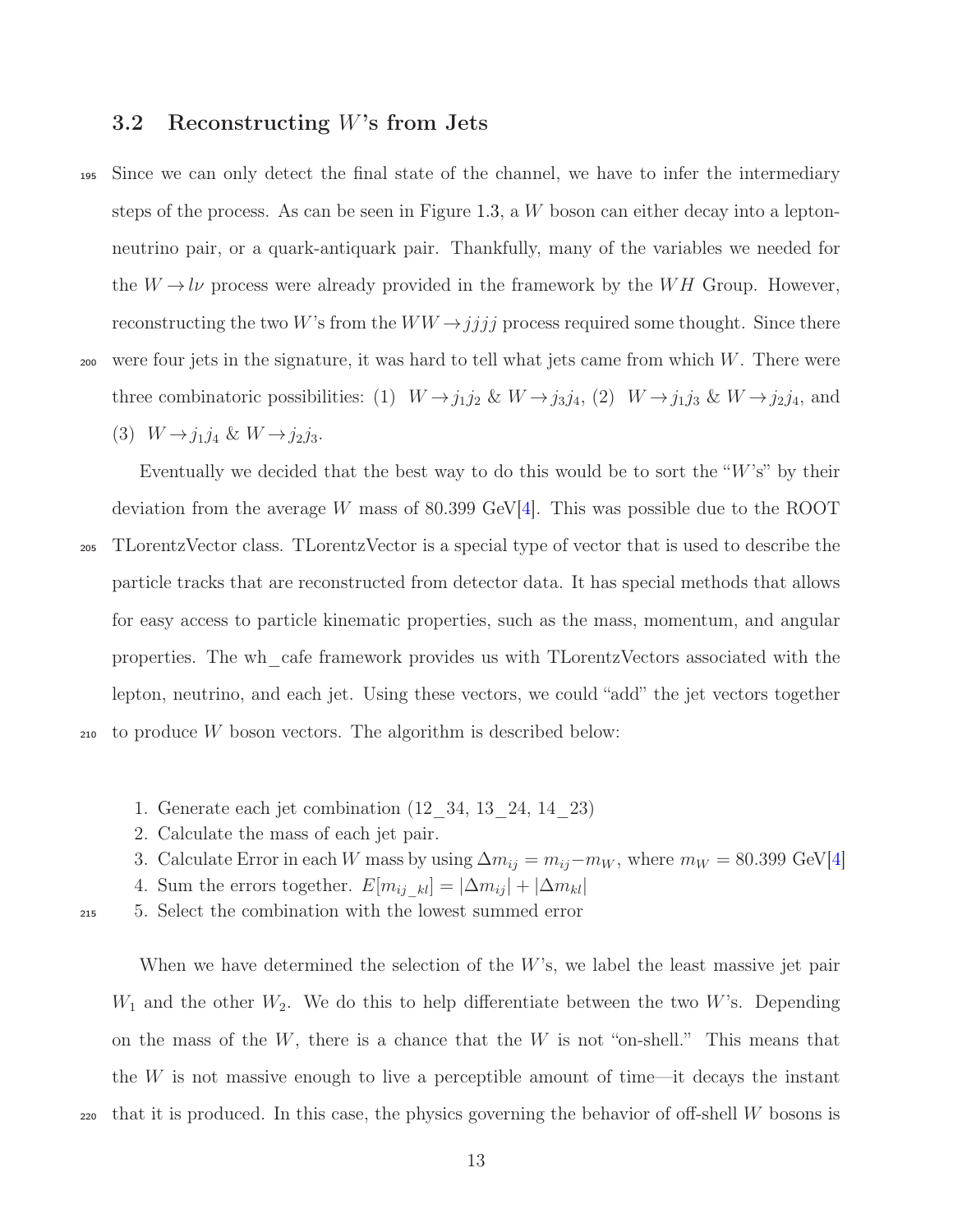## <span id="page-12-0"></span>3.2 Reconstructing W's from Jets

<sup>195</sup> Since we can only detect the final state of the channel, we have to infer the intermediary steps of the process. As can be seen in Figure [1.3,](#page-4-2) a W boson can either decay into a leptonneutrino pair, or a quark-antiquark pair. Thankfully, many of the variables we needed for the  $W \to l\nu$  process were already provided in the framework by the WH Group. However, reconstructing the two W's from the  $WW \rightarrow jjjj$  process required some thought. Since there  $200$  were four jets in the signature, it was hard to tell what jets came from which W. There were three combinatoric possibilities: (1)  $W \rightarrow j_1 j_2 \& W \rightarrow j_3 j_4$ , (2)  $W \rightarrow j_1 j_3 \& W \rightarrow j_2 j_4$ , and (3)  $W \rightarrow j_1 j_4 \& W \rightarrow j_2 j_3.$ 

Eventually we decided that the best way to do this would be to sort the " $W$ 's" by their deviation from the average W mass of 80.399 GeV[\[4\]](#page-17-5). This was possible due to the ROOT

<sup>205</sup> TLorentzVector class. TLorentzVector is a special type of vector that is used to describe the particle tracks that are reconstructed from detector data. It has special methods that allows for easy access to particle kinematic properties, such as the mass, momentum, and angular properties. The wh\_cafe framework provides us with TLorentzVectors associated with the lepton, neutrino, and each jet. Using these vectors, we could "add" the jet vectors together <sup>210</sup> to produce W boson vectors. The algorithm is described below:

- 1. Generate each jet combination (12\_34, 13\_24, 14\_23)
- 2. Calculate the mass of each jet pair.
- 3. Calculate Error in each W mass by using  $\Delta m_{ij} = m_{ij} m_W$ , where  $m_W = 80.399$  GeV[\[4\]](#page-17-5)
- 4. Sum the errors together.  $E[m_{ij-kl}] = |\Delta m_{ij}| + |\Delta m_{kl}|$

<sup>215</sup> 5. Select the combination with the lowest summed error

When we have determined the selection of the W's, we label the least massive jet pair  $W_1$  and the other  $W_2$ . We do this to help differentiate between the two W's. Depending on the mass of the  $W$ , there is a chance that the  $W$  is not "on-shell." This means that the  $W$  is not massive enough to live a perceptible amount of time—it decays the instant  $220$  that it is produced. In this case, the physics governing the behavior of off-shell W bosons is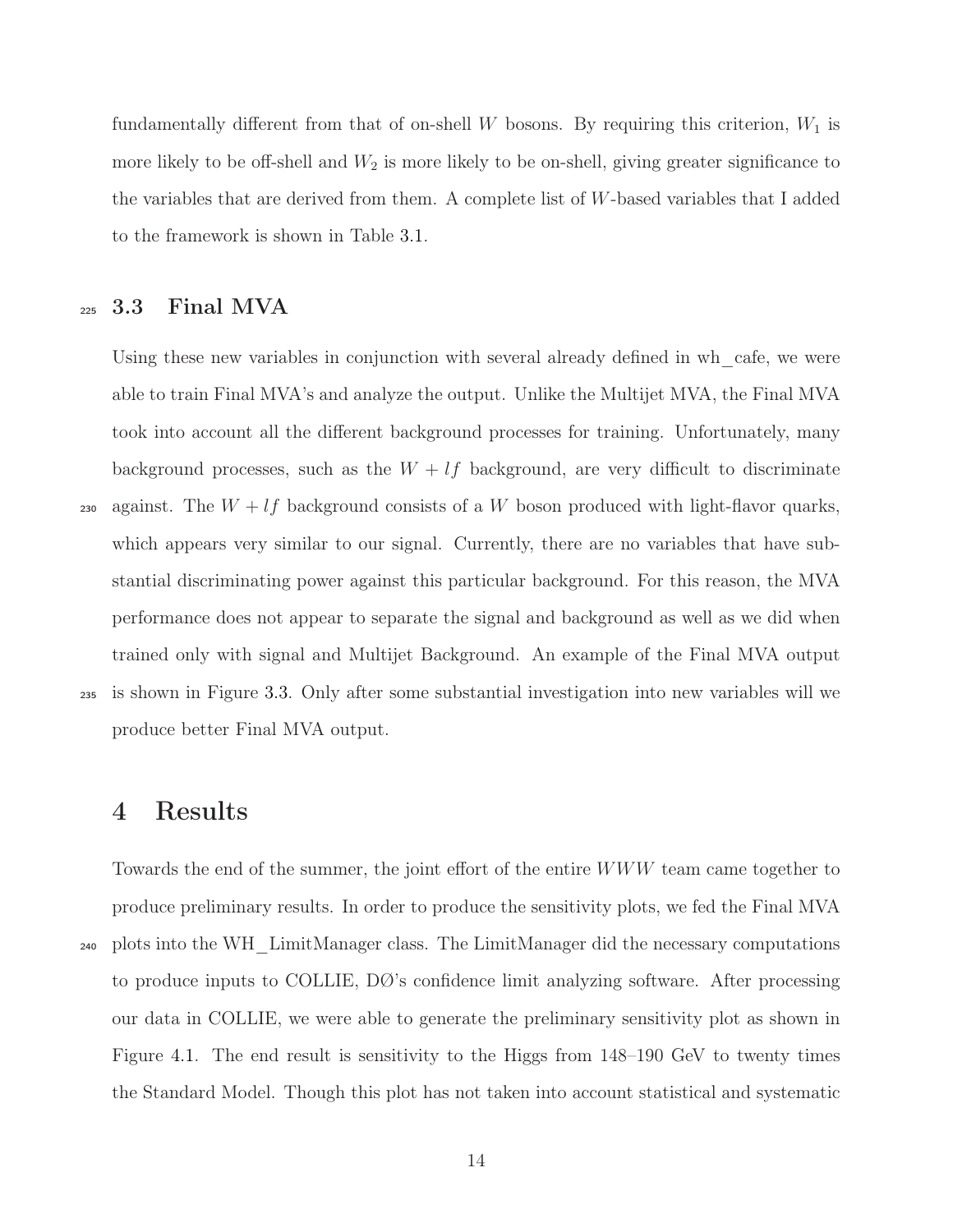fundamentally different from that of on-shell W bosons. By requiring this criterion,  $W_1$  is more likely to be off-shell and  $W_2$  is more likely to be on-shell, giving greater significance to the variables that are derived from them. A complete list of W-based variables that I added to the framework is shown in Table [3.1.](#page-14-0)

## <span id="page-13-0"></span><sup>225</sup> 3.3 Final MVA

Using these new variables in conjunction with several already defined in wh cafe, we were able to train Final MVA's and analyze the output. Unlike the Multijet MVA, the Final MVA took into account all the different background processes for training. Unfortunately, many background processes, such as the  $W + \ell f$  background, are very difficult to discriminate 230 against. The  $W + lf$  background consists of a W boson produced with light-flavor quarks, which appears very similar to our signal. Currently, there are no variables that have substantial discriminating power against this particular background. For this reason, the MVA performance does not appear to separate the signal and background as well as we did when trained only with signal and Multijet Background. An example of the Final MVA output <sup>235</sup> is shown in Figure [3.3.](#page-14-1) Only after some substantial investigation into new variables will we produce better Final MVA output.

## <span id="page-13-1"></span>4 Results

Towards the end of the summer, the joint effort of the entire WWW team came together to produce preliminary results. In order to produce the sensitivity plots, we fed the Final MVA <sup>240</sup> plots into the WH\_LimitManager class. The LimitManager did the necessary computations to produce inputs to COLLIE, DØ's confidence limit analyzing software. After processing our data in COLLIE, we were able to generate the preliminary sensitivity plot as shown in Figure [4.1.](#page-15-1) The end result is sensitivity to the Higgs from 148–190 GeV to twenty times the Standard Model. Though this plot has not taken into account statistical and systematic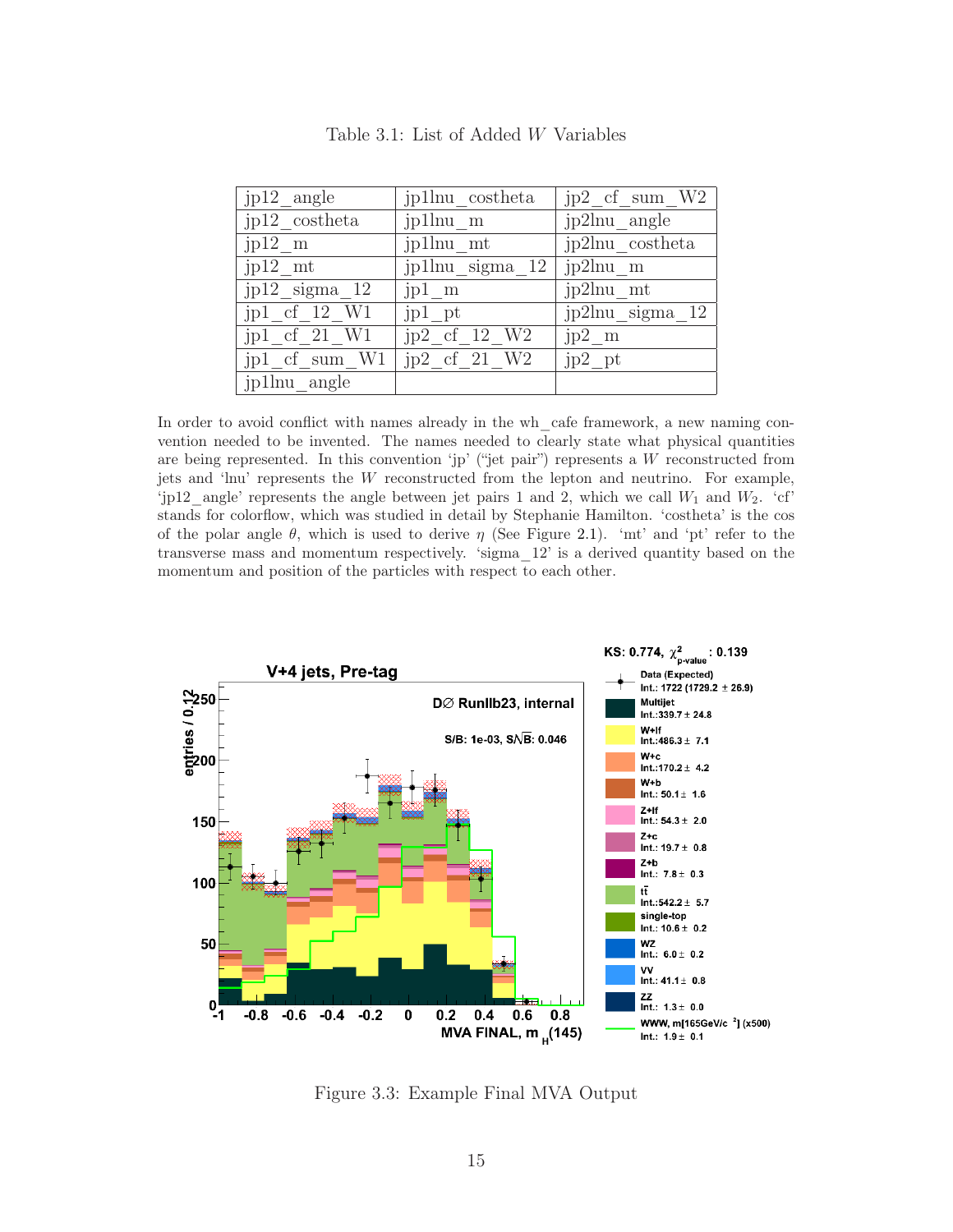<span id="page-14-0"></span>

| $jp12$ angle                   | jp1lnu costheta    | $jp2_c f\_sum_W 2$ |
|--------------------------------|--------------------|--------------------|
| $jp12\_\cosh$ eta              | jp1lnu m           | jp2lnu angle       |
| $jp12 \text{ m}$               | jp1lnu mt          | jp2lnu costheta    |
| $jp12$ mt                      | jp1lnu sigma $12$  | jp2lnu m           |
| $jp12$ _sigma_12               | $jpl$ m            | jp2lnu_mt          |
| jp1 cf 12 W1                   | jp1 pt             | jp2lnu sigma 12    |
| $jp1_c f_21_W1$                | $jp2_ccf_12$ W2    | $jp2 \text{ m}$    |
| $jp1_ccf\_sum$ $\overline{W1}$ | $jp2_c$ cf $21$ W2 | $jp2$ pt           |
| jp1lnu angle                   |                    |                    |

Table 3.1: List of Added W Variables

In order to avoid conflict with names already in the wh\_cafe framework, a new naming convention needed to be invented. The names needed to clearly state what physical quantities are being represented. In this convention 'jp' ("jet pair") represents a W reconstructed from jets and 'lnu' represents the W reconstructed from the lepton and neutrino. For example, 'jp12\_angle' represents the angle between jet pairs 1 and 2, which we call  $W_1$  and  $W_2$ . 'cf' stands for colorflow, which was studied in detail by Stephanie Hamilton. 'costheta' is the cos of the polar angle  $\theta$ , which is used to derive  $\eta$  (See Figure [2.1\)](#page-5-1). 'mt' and 'pt' refer to the transverse mass and momentum respectively. 'sigma\_12' is a derived quantity based on the momentum and position of the particles with respect to each other.

<span id="page-14-1"></span>

Figure 3.3: Example Final MVA Output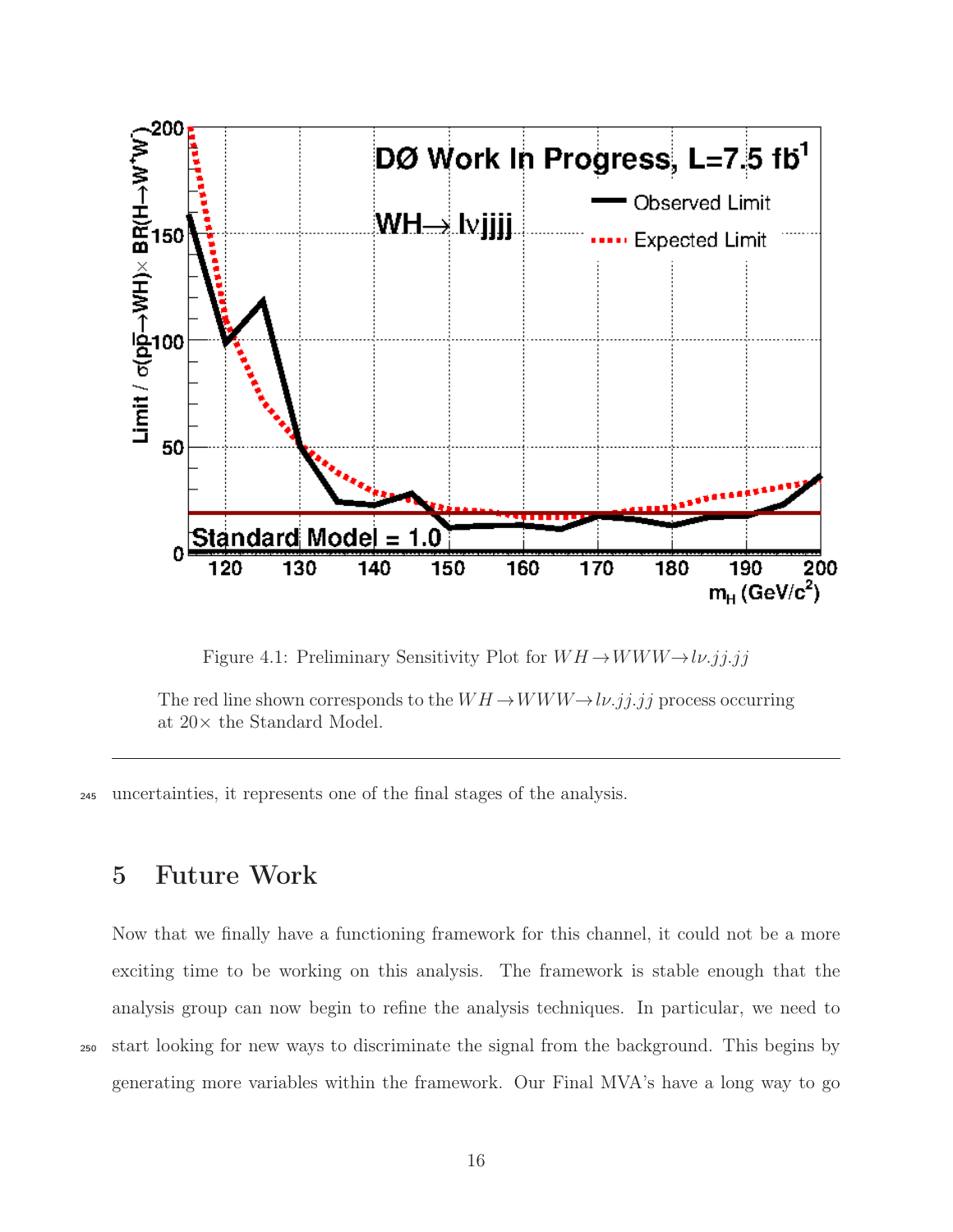<span id="page-15-1"></span>

Figure 4.1: Preliminary Sensitivity Plot for  $WH \rightarrow WWW \rightarrow l\nu. jj. jj$ 

The red line shown corresponds to the  $WH \rightarrow WWW \rightarrow l\nu$ .jj.jj process occurring at 20× the Standard Model.

<span id="page-15-0"></span><sup>245</sup> uncertainties, it represents one of the final stages of the analysis.

# 5 Future Work

Now that we finally have a functioning framework for this channel, it could not be a more exciting time to be working on this analysis. The framework is stable enough that the analysis group can now begin to refine the analysis techniques. In particular, we need to <sup>250</sup> start looking for new ways to discriminate the signal from the background. This begins by generating more variables within the framework. Our Final MVA's have a long way to go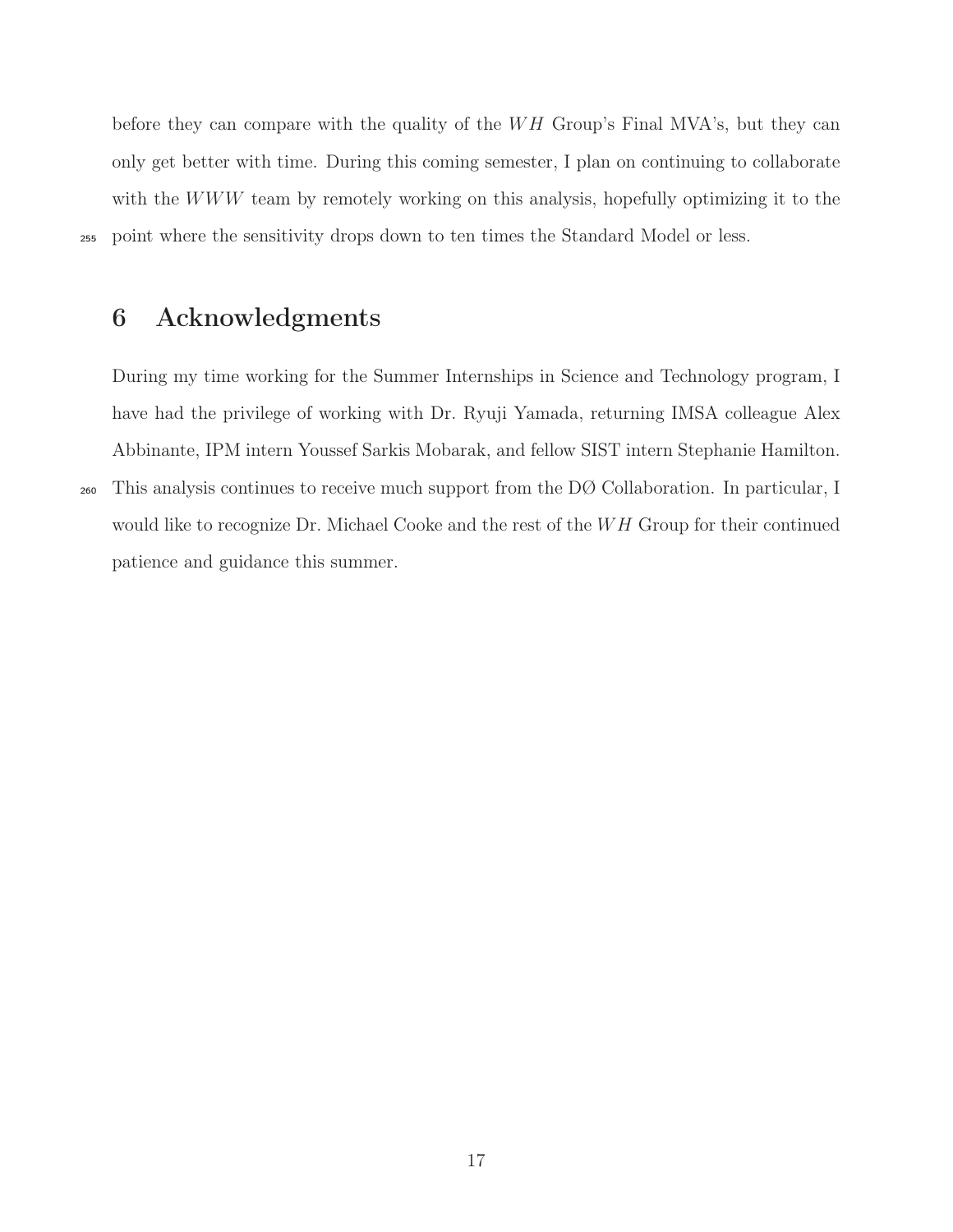before they can compare with the quality of the  $WH$  Group's Final MVA's, but they can only get better with time. During this coming semester, I plan on continuing to collaborate with the WWW team by remotely working on this analysis, hopefully optimizing it to the <sup>255</sup> point where the sensitivity drops down to ten times the Standard Model or less.

# <span id="page-16-0"></span>6 Acknowledgments

During my time working for the Summer Internships in Science and Technology program, I have had the privilege of working with Dr. Ryuji Yamada, returning IMSA colleague Alex Abbinante, IPM intern Youssef Sarkis Mobarak, and fellow SIST intern Stephanie Hamilton.

<sup>260</sup> This analysis continues to receive much support from the DØ Collaboration. In particular, I would like to recognize Dr. Michael Cooke and the rest of the  $WH$  Group for their continued patience and guidance this summer.

17